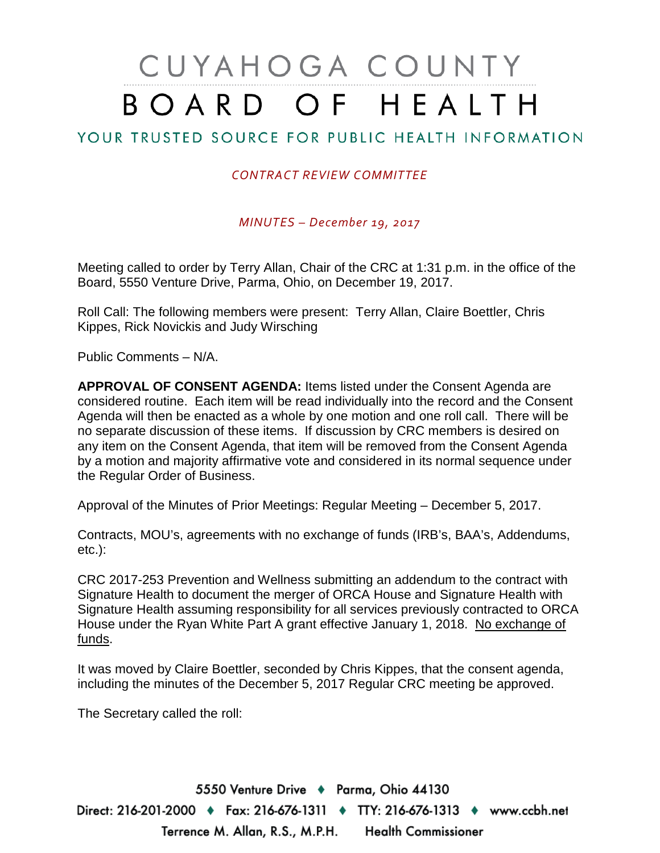# CUYAHOGA COUNTY BOARD OF HEALTH

## YOUR TRUSTED SOURCE FOR PUBLIC HEALTH INFORMATION

#### *CONTRACT REVIEW COMMITTEE*

*MINUTES – December 19, 2017*

Meeting called to order by Terry Allan, Chair of the CRC at 1:31 p.m. in the office of the Board, 5550 Venture Drive, Parma, Ohio, on December 19, 2017.

Roll Call: The following members were present: Terry Allan, Claire Boettler, Chris Kippes, Rick Novickis and Judy Wirsching

Public Comments – N/A.

**APPROVAL OF CONSENT AGENDA:** Items listed under the Consent Agenda are considered routine. Each item will be read individually into the record and the Consent Agenda will then be enacted as a whole by one motion and one roll call. There will be no separate discussion of these items. If discussion by CRC members is desired on any item on the Consent Agenda, that item will be removed from the Consent Agenda by a motion and majority affirmative vote and considered in its normal sequence under the Regular Order of Business.

Approval of the Minutes of Prior Meetings: Regular Meeting – December 5, 2017.

Contracts, MOU's, agreements with no exchange of funds (IRB's, BAA's, Addendums, etc.):

CRC 2017-253 Prevention and Wellness submitting an addendum to the contract with Signature Health to document the merger of ORCA House and Signature Health with Signature Health assuming responsibility for all services previously contracted to ORCA House under the Ryan White Part A grant effective January 1, 2018. No exchange of funds.

It was moved by Claire Boettler, seconded by Chris Kippes, that the consent agenda, including the minutes of the December 5, 2017 Regular CRC meeting be approved.

The Secretary called the roll:

5550 Venture Drive + Parma, Ohio 44130 Direct: 216-201-2000 ♦ Fax: 216-676-1311 ♦ TTY: 216-676-1313 ♦ www.ccbh.net Terrence M. Allan, R.S., M.P.H. Health Commissioner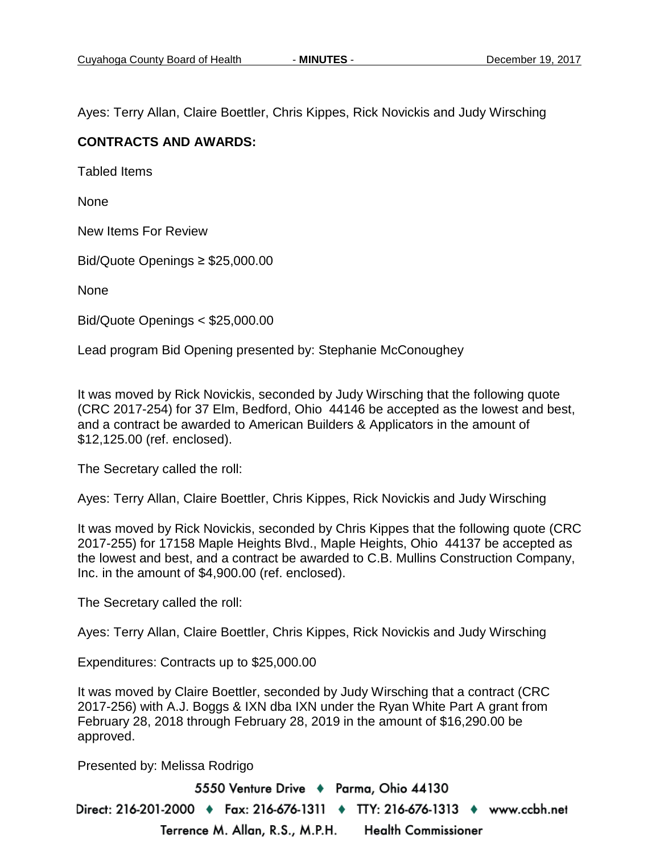Ayes: Terry Allan, Claire Boettler, Chris Kippes, Rick Novickis and Judy Wirsching

### **CONTRACTS AND AWARDS:**

Tabled Items

None

New Items For Review

Bid/Quote Openings ≥ \$25,000.00

None

Bid/Quote Openings < \$25,000.00

Lead program Bid Opening presented by: Stephanie McConoughey

It was moved by Rick Novickis, seconded by Judy Wirsching that the following quote (CRC 2017-254) for 37 Elm, Bedford, Ohio 44146 be accepted as the lowest and best, and a contract be awarded to American Builders & Applicators in the amount of \$12,125.00 (ref. enclosed).

The Secretary called the roll:

Ayes: Terry Allan, Claire Boettler, Chris Kippes, Rick Novickis and Judy Wirsching

It was moved by Rick Novickis, seconded by Chris Kippes that the following quote (CRC 2017-255) for 17158 Maple Heights Blvd., Maple Heights, Ohio 44137 be accepted as the lowest and best, and a contract be awarded to C.B. Mullins Construction Company, Inc. in the amount of \$4,900.00 (ref. enclosed).

The Secretary called the roll:

Ayes: Terry Allan, Claire Boettler, Chris Kippes, Rick Novickis and Judy Wirsching

Expenditures: Contracts up to \$25,000.00

It was moved by Claire Boettler, seconded by Judy Wirsching that a contract (CRC 2017-256) with A.J. Boggs & IXN dba IXN under the Ryan White Part A grant from February 28, 2018 through February 28, 2019 in the amount of \$16,290.00 be approved.

Presented by: Melissa Rodrigo

5550 Venture Drive + Parma, Ohio 44130 Direct: 216-201-2000 ♦ Fax: 216-676-1311 ♦ TTY: 216-676-1313 ♦ www.ccbh.net Terrence M. Allan, R.S., M.P.H. **Health Commissioner**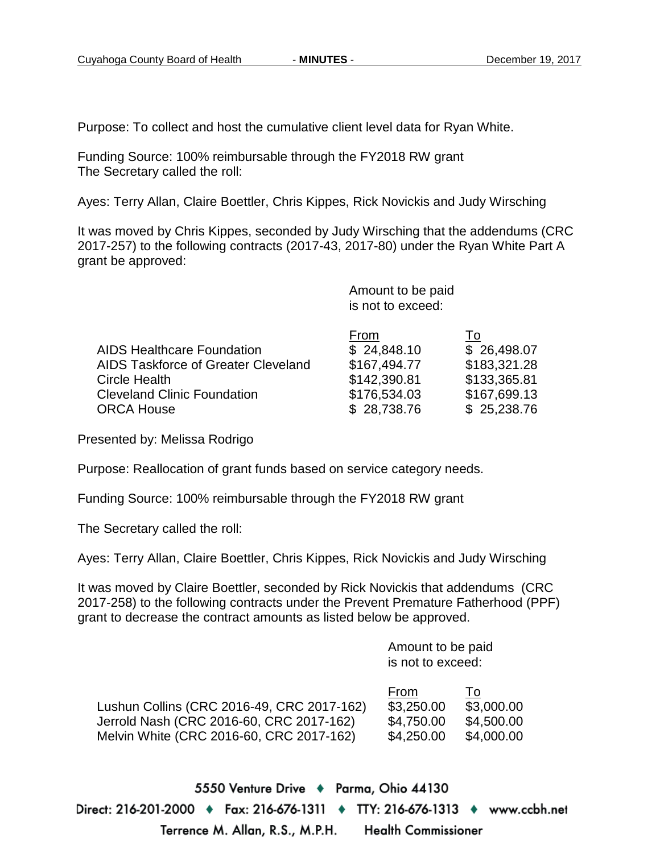Purpose: To collect and host the cumulative client level data for Ryan White.

Funding Source: 100% reimbursable through the FY2018 RW grant The Secretary called the roll:

Ayes: Terry Allan, Claire Boettler, Chris Kippes, Rick Novickis and Judy Wirsching

It was moved by Chris Kippes, seconded by Judy Wirsching that the addendums (CRC 2017-257) to the following contracts (2017-43, 2017-80) under the Ryan White Part A grant be approved:

> Amount to be paid is not to exceed:

|              | l o          |
|--------------|--------------|
| \$24,848.10  | \$26,498.07  |
| \$167,494.77 | \$183,321.28 |
| \$142,390.81 | \$133,365.81 |
| \$176,534.03 | \$167,699.13 |
| \$28,738.76  | \$25,238.76  |
|              | From         |

Presented by: Melissa Rodrigo

Purpose: Reallocation of grant funds based on service category needs.

Funding Source: 100% reimbursable through the FY2018 RW grant

The Secretary called the roll:

Ayes: Terry Allan, Claire Boettler, Chris Kippes, Rick Novickis and Judy Wirsching

It was moved by Claire Boettler, seconded by Rick Novickis that addendums (CRC 2017-258) to the following contracts under the Prevent Premature Fatherhood (PPF) grant to decrease the contract amounts as listed below be approved.

> Amount to be paid is not to exceed:

|                                            | <b>From</b> | To         |
|--------------------------------------------|-------------|------------|
| Lushun Collins (CRC 2016-49, CRC 2017-162) | \$3,250.00  | \$3,000.00 |
| Jerrold Nash (CRC 2016-60, CRC 2017-162)   | \$4,750.00  | \$4,500.00 |
| Melvin White (CRC 2016-60, CRC 2017-162)   | \$4,250.00  | \$4,000.00 |

5550 Venture Drive + Parma, Ohio 44130 Direct: 216-201-2000 ♦ Fax: 216-676-1311 ♦ TTY: 216-676-1313 ♦ www.ccbh.net Terrence M. Allan, R.S., M.P.H. **Health Commissioner**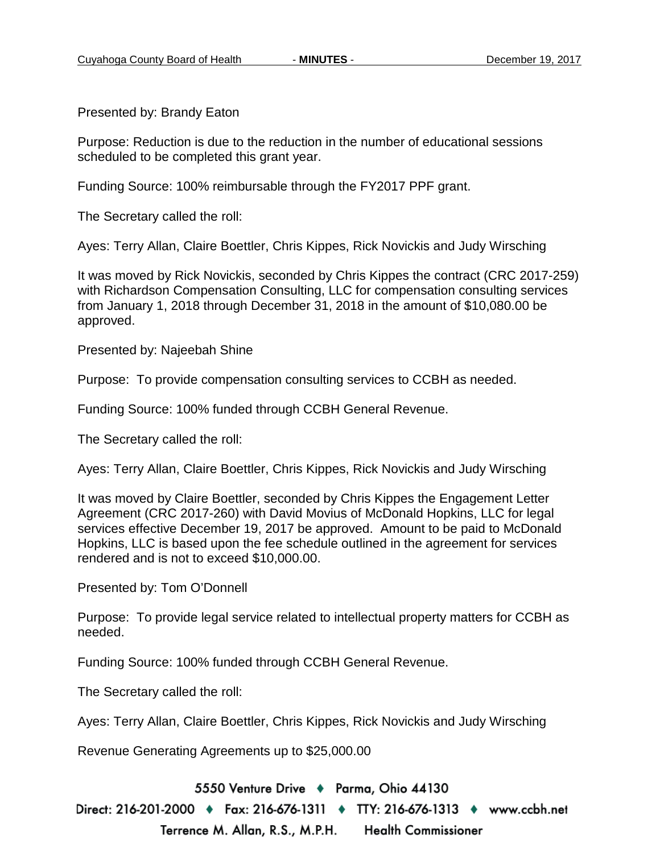Presented by: Brandy Eaton

Purpose: Reduction is due to the reduction in the number of educational sessions scheduled to be completed this grant year.

Funding Source: 100% reimbursable through the FY2017 PPF grant.

The Secretary called the roll:

Ayes: Terry Allan, Claire Boettler, Chris Kippes, Rick Novickis and Judy Wirsching

It was moved by Rick Novickis, seconded by Chris Kippes the contract (CRC 2017-259) with Richardson Compensation Consulting, LLC for compensation consulting services from January 1, 2018 through December 31, 2018 in the amount of \$10,080.00 be approved.

Presented by: Najeebah Shine

Purpose: To provide compensation consulting services to CCBH as needed.

Funding Source: 100% funded through CCBH General Revenue.

The Secretary called the roll:

Ayes: Terry Allan, Claire Boettler, Chris Kippes, Rick Novickis and Judy Wirsching

It was moved by Claire Boettler, seconded by Chris Kippes the Engagement Letter Agreement (CRC 2017-260) with David Movius of McDonald Hopkins, LLC for legal services effective December 19, 2017 be approved. Amount to be paid to McDonald Hopkins, LLC is based upon the fee schedule outlined in the agreement for services rendered and is not to exceed \$10,000.00.

Presented by: Tom O'Donnell

Purpose: To provide legal service related to intellectual property matters for CCBH as needed.

Funding Source: 100% funded through CCBH General Revenue.

The Secretary called the roll:

Ayes: Terry Allan, Claire Boettler, Chris Kippes, Rick Novickis and Judy Wirsching

Revenue Generating Agreements up to \$25,000.00

5550 Venture Drive + Parma, Ohio 44130

Direct: 216-201-2000 ♦ Fax: 216-676-1311 ♦ TTY: 216-676-1313 ♦ www.ccbh.net Terrence M. Allan, R.S., M.P.H. **Health Commissioner**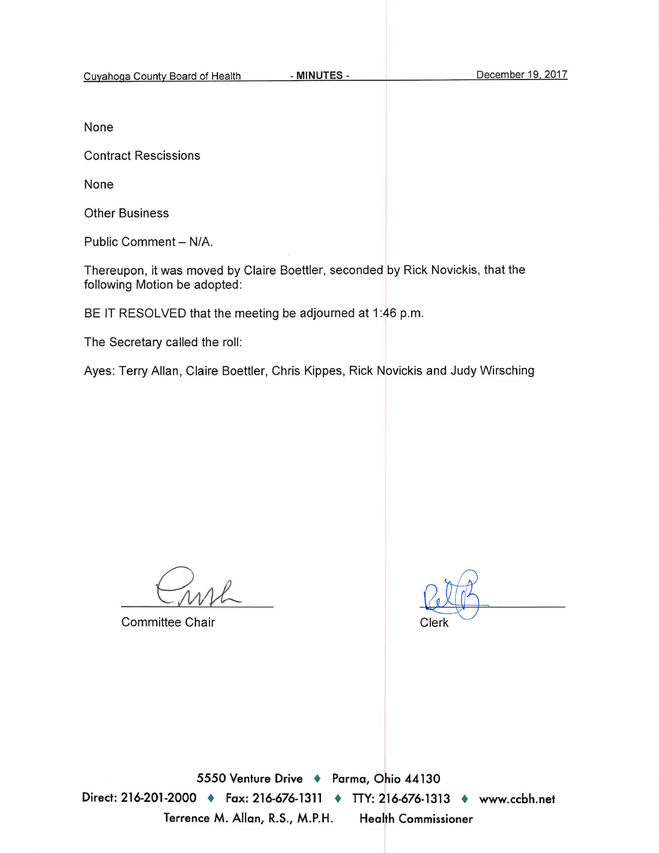None

**Contract Rescissions** 

None

**Other Business** 

Public Comment - N/A.

Thereupon, it was moved by Claire Boettler, seconded by Rick Novickis, that the following Motion be adopted:

BE IT RESOLVED that the meeting be adjourned at 1:46 p.m.

The Secretary called the roll:

Ayes: Terry Allan, Claire Boettler, Chris Kippes, Rick Novickis and Judy Wirsching

**Committee Chair** 

Clerk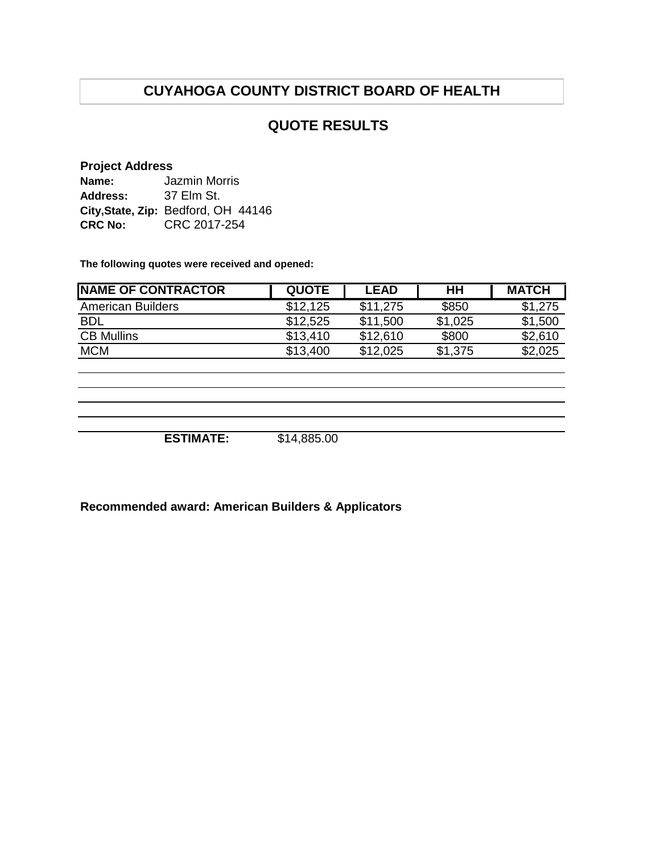# **CUYAHOGA COUNTY DISTRICT BOARD OF HEALTH**

## **QUOTE RESULTS**

#### **Project Address**

| Name:          | <b>Jazmin Morris</b>                |
|----------------|-------------------------------------|
| Address:       | 37 Elm St.                          |
|                | City, State, Zip: Bedford, OH 44146 |
| <b>CRC No:</b> | CRC 2017-254                        |

**The following quotes were received and opened:**

| <b>NAME OF CONTRACTOR</b> | <b>QUOTE</b> | <b>LEAD</b> | HН      | <b>MATCH</b> |
|---------------------------|--------------|-------------|---------|--------------|
| <b>American Builders</b>  | \$12,125     | \$11.275    | \$850   | \$1,275      |
| <b>BDL</b>                | \$12,525     | \$11,500    | \$1,025 | \$1,500      |
| <b>CB Mullins</b>         | \$13,410     | \$12,610    | \$800   | \$2,610      |
| <b>MCM</b>                | \$13,400     | \$12,025    | \$1,375 | \$2,025      |
|                           |              |             |         |              |

**ESTIMATE:** \$14,885.00

**Recommended award: American Builders & Applicators**